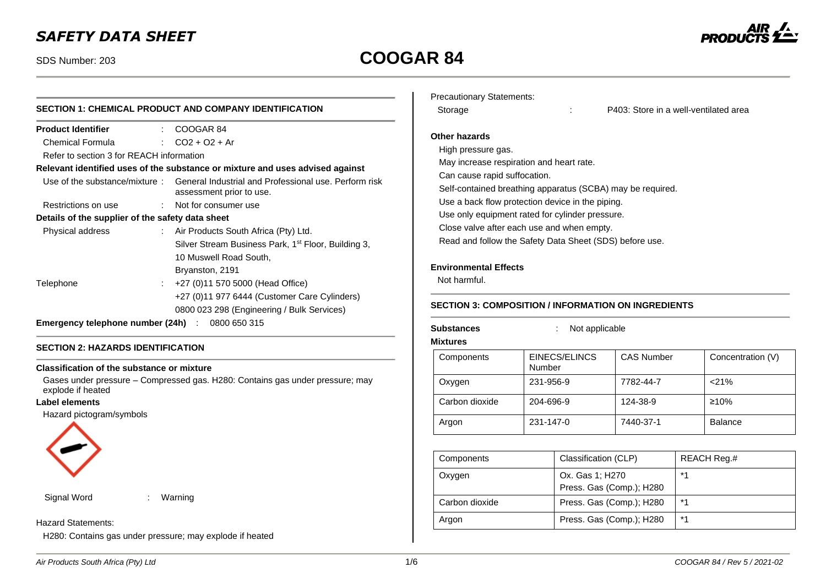## *SAFETY DATA SHEET*

# SDS Number: 203 **COOGAR 84**



| <b>SECTION 1: CHEMICAL PRODUCT AND COMPANY IDENTIFICATION</b>     |                                                                                                                 |  |
|-------------------------------------------------------------------|-----------------------------------------------------------------------------------------------------------------|--|
| <b>Product Identifier</b>                                         | COOGAR 84                                                                                                       |  |
| Chemical Formula<br>$\mathbb{R}^{n}$                              | $CO2 + O2 + Ar$                                                                                                 |  |
| Refer to section 3 for REACH information                          |                                                                                                                 |  |
|                                                                   | Relevant identified uses of the substance or mixture and uses advised against                                   |  |
|                                                                   | Use of the substance/mixture: General Industrial and Professional use. Perform risk<br>assessment prior to use. |  |
| Restrictions on use                                               | : Not for consumer use                                                                                          |  |
| Details of the supplier of the safety data sheet                  |                                                                                                                 |  |
| Physical address                                                  | : Air Products South Africa (Pty) Ltd.                                                                          |  |
|                                                                   | Silver Stream Business Park, 1 <sup>st</sup> Floor, Building 3,                                                 |  |
|                                                                   | 10 Muswell Road South,                                                                                          |  |
|                                                                   | Bryanston, 2191                                                                                                 |  |
| Telephone<br>t.                                                   | +27 (0)11 570 5000 (Head Office)                                                                                |  |
|                                                                   | +27 (0)11 977 6444 (Customer Care Cylinders)                                                                    |  |
|                                                                   | 0800 023 298 (Engineering / Bulk Services)                                                                      |  |
| <b>Emergency telephone number (24h)</b> $\therefore$ 0800 650 315 |                                                                                                                 |  |

#### **SECTION 2: HAZARDS IDENTIFICATION**

#### **Classification of the substance or mixture**

Gases under pressure – Compressed gas. H280: Contains gas under pressure; may explode if heated

#### **Label elements**

Hazard pictogram/symbols



Signal Word : Warning

#### Hazard Statements:

H280: Contains gas under pressure; may explode if heated

#### Precautionary Statements:

Storage : P403: Store in a well-ventilated area

#### **Other hazards**

High pressure gas. May increase respiration and heart rate. Can cause rapid suffocation. Self-contained breathing apparatus (SCBA) may be required. Use a back flow protection device in the piping. Use only equipment rated for cylinder pressure. Close valve after each use and when empty. Read and follow the Safety Data Sheet (SDS) before use.

#### **Environmental Effects**

Not harmful.

#### **SECTION 3: COMPOSITION / INFORMATION ON INGREDIENTS**

**Substances** : Not applicable

|  |  | <b>Mixtures</b> |
|--|--|-----------------|
|--|--|-----------------|

| Components     | EINECS/ELINCS<br>Number | <b>CAS Number</b> | Concentration (V) |
|----------------|-------------------------|-------------------|-------------------|
| Oxygen         | 231-956-9               | 7782-44-7         | < 21%             |
| Carbon dioxide | 204-696-9               | 124-38-9          | ≥10%              |
| Argon          | 231-147-0               | 7440-37-1         | <b>Balance</b>    |

| Components     | Classification (CLP)                        | REACH Reg.# |
|----------------|---------------------------------------------|-------------|
| Oxygen         | Ox. Gas 1; H270<br>Press. Gas (Comp.); H280 | $*1$        |
| Carbon dioxide | Press. Gas (Comp.); H280                    | $*1$        |
| Argon          | Press. Gas (Comp.); H280                    | $*1$        |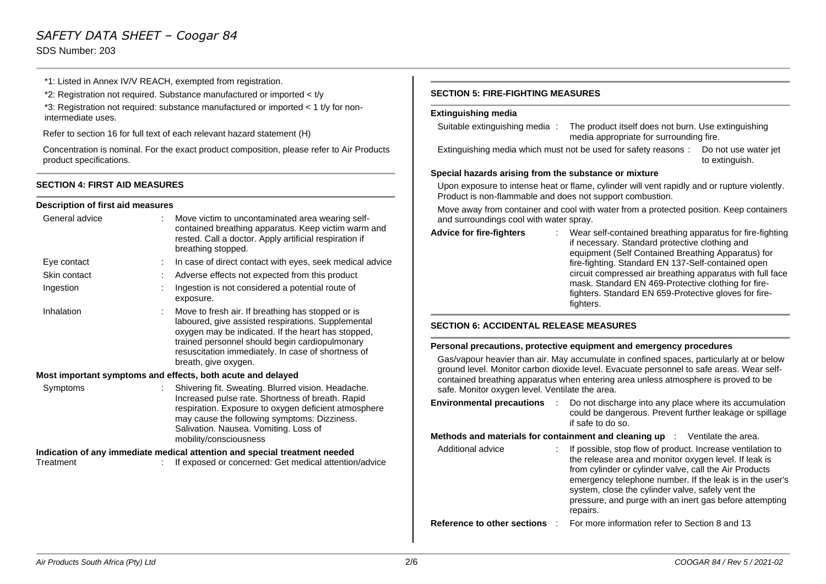SDS Number: 203

\*1: Listed in Annex IV/V REACH, exempted from registration.

\*2: Registration not required. Substance manufactured or imported < t/y

\*3: Registration not required: substance manufactured or imported < 1 t/y for nonintermediate uses.

Refer to section 16 for full text of each relevant hazard statement (H)

Concentration is nominal. For the exact product composition, please refer to Air Products product specifications.

#### **SECTION 4: FIRST AID MEASURES**

#### **Description of first aid measures**

| General advice                                                             |  | Move victim to uncontaminated area wearing self-<br>contained breathing apparatus. Keep victim warm and<br>rested. Call a doctor. Apply artificial respiration if<br>breathing stopped.                                                                                                       |
|----------------------------------------------------------------------------|--|-----------------------------------------------------------------------------------------------------------------------------------------------------------------------------------------------------------------------------------------------------------------------------------------------|
| Eye contact                                                                |  | In case of direct contact with eyes, seek medical advice                                                                                                                                                                                                                                      |
| Skin contact                                                               |  | Adverse effects not expected from this product                                                                                                                                                                                                                                                |
| Ingestion                                                                  |  | Ingestion is not considered a potential route of<br>exposure.                                                                                                                                                                                                                                 |
| Inhalation                                                                 |  | Move to fresh air. If breathing has stopped or is<br>laboured, give assisted respirations. Supplemental<br>oxygen may be indicated. If the heart has stopped,<br>trained personnel should begin cardiopulmonary<br>resuscitation immediately. In case of shortness of<br>breath, give oxygen. |
|                                                                            |  | Most important symptoms and effects, both acute and delayed                                                                                                                                                                                                                                   |
| Symptoms                                                                   |  | Shivering fit. Sweating. Blurred vision. Headache.<br>Increased pulse rate. Shortness of breath. Rapid<br>respiration. Exposure to oxygen deficient atmosphere<br>may cause the following symptoms: Dizziness.<br>Salivation. Nausea. Vomiting. Loss of<br>mobility/consciousness             |
| Indication of any immediate medical attention and special treatment needed |  |                                                                                                                                                                                                                                                                                               |
| Treatment                                                                  |  | If exposed or concerned: Get medical attention/advice                                                                                                                                                                                                                                         |

#### **SECTION 5: FIRE-FIGHTING MEASURES**

#### **Extinguishing media**

| Suitable extinguishing media:                                  | The product itself does not burn. Use extinguishing<br>media appropriate for surrounding fire. |                                        |
|----------------------------------------------------------------|------------------------------------------------------------------------------------------------|----------------------------------------|
| Extinguishing media which must not be used for safety reasons: |                                                                                                | Do not use water jet<br>to extinguish. |
| Snacial hazarde arieing from the eubetance or mivture          |                                                                                                |                                        |

#### **Special hazards arising from the substance or mixture**

Upon exposure to intense heat or flame, cylinder will vent rapidly and or rupture violently. Product is non-flammable and does not support combustion.

Move away from container and cool with water from a protected position. Keep containers and surroundings cool with water spray.

| <b>Advice for fire-fighters</b> | Wear self-contained breathing apparatus for fire-fighting<br>if necessary. Standard protective clothing and<br>equipment (Self Contained Breathing Apparatus) for<br>fire-fighting. Standard EN 137-Self-contained open<br>circuit compressed air breathing apparatus with full face<br>mask. Standard EN 469-Protective clothing for fire-<br>fighters. Standard EN 659-Protective gloves for fire-<br>fighters. |
|---------------------------------|-------------------------------------------------------------------------------------------------------------------------------------------------------------------------------------------------------------------------------------------------------------------------------------------------------------------------------------------------------------------------------------------------------------------|
|---------------------------------|-------------------------------------------------------------------------------------------------------------------------------------------------------------------------------------------------------------------------------------------------------------------------------------------------------------------------------------------------------------------------------------------------------------------|

#### **SECTION 6: ACCIDENTAL RELEASE MEASURES**

#### **Personal precautions, protective equipment and emergency procedures**

Gas/vapour heavier than air. May accumulate in confined spaces, particularly at or below ground level. Monitor carbon dioxide level. Evacuate personnel to safe areas. Wear selfcontained breathing apparatus when entering area unless atmosphere is proved to be safe. Monitor oxygen level. Ventilate the area.

| <b>Environmental precautions</b> | Do not discharge into any place where its accumulation  |
|----------------------------------|---------------------------------------------------------|
|                                  | could be dangerous. Prevent further leakage or spillage |
|                                  | if safe to do so.                                       |

**Methods and materials for containment and cleaning up** : Ventilate the area.

| Additional advice | If possible, stop flow of product. Increase ventilation to<br>the release area and monitor oxygen level. If leak is<br>from cylinder or cylinder valve, call the Air Products<br>emergency telephone number. If the leak is in the user's<br>system, close the cylinder valve, safely vent the<br>pressure, and purge with an inert gas before attempting<br>repairs. |
|-------------------|-----------------------------------------------------------------------------------------------------------------------------------------------------------------------------------------------------------------------------------------------------------------------------------------------------------------------------------------------------------------------|
|                   | standard to all an accelerations of the second information of the faction Algorithm                                                                                                                                                                                                                                                                                   |

**Reference to other sections** : For more information refer to Section 8 and 13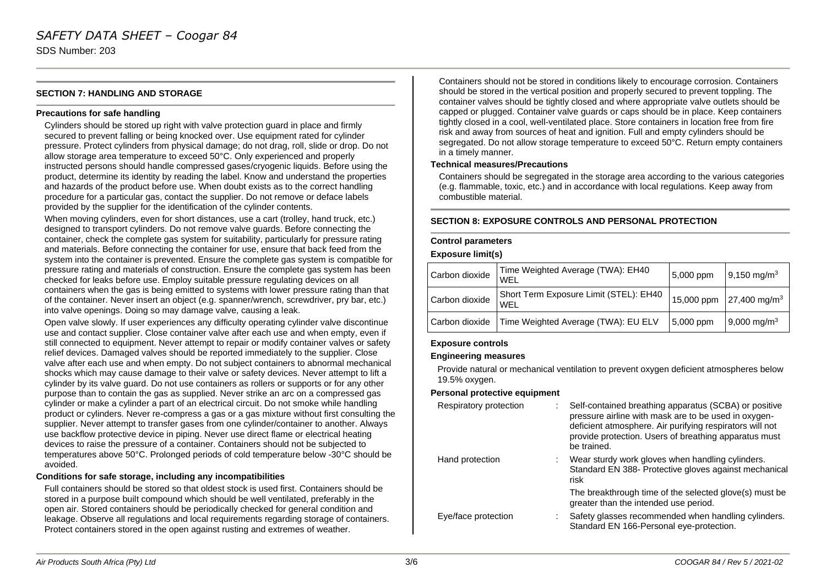### *SAFETY DATA SHEET – Coogar 84* SDS Number: 203

#### **SECTION 7: HANDLING AND STORAGE**

#### **Precautions for safe handling**

Cylinders should be stored up right with valve protection guard in place and firmly secured to prevent falling or being knocked over. Use equipment rated for cylinder pressure. Protect cylinders from physical damage; do not drag, roll, slide or drop. Do not allow storage area temperature to exceed 50°C. Only experienced and properly instructed persons should handle compressed gases/cryogenic liquids. Before using the product, determine its identity by reading the label. Know and understand the properties and hazards of the product before use. When doubt exists as to the correct handling procedure for a particular gas, contact the supplier. Do not remove or deface labels provided by the supplier for the identification of the cylinder contents.

When moving cylinders, even for short distances, use a cart (trolley, hand truck, etc.) designed to transport cylinders. Do not remove valve guards. Before connecting the container, check the complete gas system for suitability, particularly for pressure rating and materials. Before connecting the container for use, ensure that back feed from the system into the container is prevented. Ensure the complete gas system is compatible for pressure rating and materials of construction. Ensure the complete gas system has been checked for leaks before use. Employ suitable pressure regulating devices on all containers when the gas is being emitted to systems with lower pressure rating than that of the container. Never insert an object (e.g. spanner/wrench, screwdriver, pry bar, etc.) into valve openings. Doing so may damage valve, causing a leak.

Open valve slowly. If user experiences any difficulty operating cylinder valve discontinue use and contact supplier. Close container valve after each use and when empty, even if still connected to equipment. Never attempt to repair or modify container valves or safety relief devices. Damaged valves should be reported immediately to the supplier. Close valve after each use and when empty. Do not subject containers to abnormal mechanical shocks which may cause damage to their valve or safety devices. Never attempt to lift a cylinder by its valve guard. Do not use containers as rollers or supports or for any other purpose than to contain the gas as supplied. Never strike an arc on a compressed gas cylinder or make a cylinder a part of an electrical circuit. Do not smoke while handling product or cylinders. Never re-compress a gas or a gas mixture without first consulting the supplier. Never attempt to transfer gases from one cylinder/container to another. Always use backflow protective device in piping. Never use direct flame or electrical heating devices to raise the pressure of a container. Containers should not be subjected to temperatures above 50°C. Prolonged periods of cold temperature below -30°C should be avoided.

#### **Conditions for safe storage, including any incompatibilities**

Full containers should be stored so that oldest stock is used first. Containers should be stored in a purpose built compound which should be well ventilated, preferably in the open air. Stored containers should be periodically checked for general condition and leakage. Observe all regulations and local requirements regarding storage of containers. Protect containers stored in the open against rusting and extremes of weather.

Containers should not be stored in conditions likely to encourage corrosion. Containers should be stored in the vertical position and properly secured to prevent toppling. The container valves should be tightly closed and where appropriate valve outlets should be capped or plugged. Container valve guards or caps should be in place. Keep containers tightly closed in a cool, well-ventilated place. Store containers in location free from fire risk and away from sources of heat and ignition. Full and empty cylinders should be segregated. Do not allow storage temperature to exceed 50°C. Return empty containers in a timely manner.

#### **Technical measures/Precautions**

Containers should be segregated in the storage area according to the various categories (e.g. flammable, toxic, etc.) and in accordance with local regulations. Keep away from combustible material.

#### **SECTION 8: EXPOSURE CONTROLS AND PERSONAL PROTECTION**

#### **Control parameters**

#### **Exposure limit(s)**

| Carbon dioxide | Time Weighted Average (TWA): EH40<br><b>WFI</b> | $5,000$ ppm | $9,150 \text{ mg/m}^3$              |
|----------------|-------------------------------------------------|-------------|-------------------------------------|
| Carbon dioxide | Short Term Exposure Limit (STEL): EH40<br>WFL   |             | 15,000 ppm 27,400 mg/m <sup>3</sup> |
| Carbon dioxide | Time Weighted Average (TWA): EU ELV             | $5,000$ ppm | 9,000 mg/m <sup>3</sup>             |

#### **Exposure controls**

#### **Engineering measures**

Provide natural or mechanical ventilation to prevent oxygen deficient atmospheres below 19.5% oxygen.

#### **Personal protective equipment**

| Respiratory protection | Self-contained breathing apparatus (SCBA) or positive<br>pressure airline with mask are to be used in oxygen-<br>deficient atmosphere. Air purifying respirators will not<br>provide protection. Users of breathing apparatus must<br>be trained. |
|------------------------|---------------------------------------------------------------------------------------------------------------------------------------------------------------------------------------------------------------------------------------------------|
| Hand protection        | Wear sturdy work gloves when handling cylinders.<br>Standard EN 388- Protective gloves against mechanical<br>risk                                                                                                                                 |
|                        | The breakthrough time of the selected glove(s) must be<br>greater than the intended use period.                                                                                                                                                   |
| Eye/face protection    | Safety glasses recommended when handling cylinders.<br>Standard EN 166-Personal eye-protection.                                                                                                                                                   |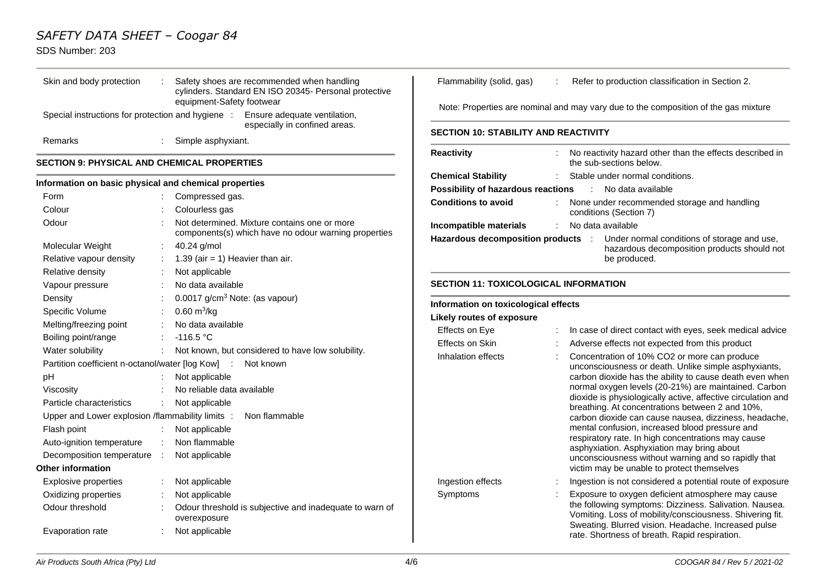#### SDS Number: 203

| Skin and body protection                              | ÷ | Safety shoes are recommended when handling<br>cylinders. Standard EN ISO 20345- Personal protective<br>equipment-Safety footwear |
|-------------------------------------------------------|---|----------------------------------------------------------------------------------------------------------------------------------|
|                                                       |   | Special instructions for protection and hygiene : Ensure adequate ventilation,<br>especially in confined areas.                  |
| Remarks                                               |   | Simple asphyxiant.                                                                                                               |
| <b>SECTION 9: PHYSICAL AND CHEMICAL PROPERTIES</b>    |   |                                                                                                                                  |
| Information on basic physical and chemical properties |   |                                                                                                                                  |
| Form                                                  |   | Compressed gas.                                                                                                                  |
| Colour                                                |   | Colourless gas                                                                                                                   |
| Odour                                                 |   | Not determined. Mixture contains one or more<br>components(s) which have no odour warning properties                             |
| Molecular Weight                                      |   | 40.24 g/mol                                                                                                                      |
| Relative vapour density                               | ÷ | 1.39 (air = 1) Heavier than air.                                                                                                 |
| Relative density                                      |   | Not applicable                                                                                                                   |
| Vapour pressure                                       |   | No data available                                                                                                                |
| Density                                               |   | 0.0017 g/cm <sup>3</sup> Note: (as vapour)                                                                                       |
| Specific Volume                                       |   | $0.60 \text{ m}^3/\text{kg}$                                                                                                     |
| Melting/freezing point                                | ÷ | No data available                                                                                                                |
| Boiling point/range                                   |   | $-116.5 °C$                                                                                                                      |
| Water solubility                                      |   | Not known, but considered to have low solubility.                                                                                |
| Partition coefficient n-octanol/water [log Kow]       |   | Not known<br>$\sim$                                                                                                              |
| рH                                                    |   | Not applicable                                                                                                                   |
| Viscosity                                             |   | No reliable data available                                                                                                       |
| Particle characteristics                              |   | Not applicable                                                                                                                   |
| Upper and Lower explosion /flammability limits :      |   | Non flammable                                                                                                                    |
| Flash point                                           |   | Not applicable                                                                                                                   |
| Auto-ignition temperature                             | ÷ | Non flammable                                                                                                                    |
| Decomposition temperature                             |   | Not applicable                                                                                                                   |
| <b>Other information</b>                              |   |                                                                                                                                  |
| <b>Explosive properties</b>                           | ÷ | Not applicable                                                                                                                   |
| Oxidizing properties                                  |   | Not applicable                                                                                                                   |
| Odour threshold                                       |   | Odour threshold is subjective and inadequate to warn of<br>overexposure                                                          |
| Evaporation rate                                      |   | Not applicable                                                                                                                   |

Flammability (solid, gas) : Refer to production classification in Section 2.

Note: Properties are nominal and may vary due to the composition of the gas mixture

#### **SECTION 10: STABILITY AND REACTIVITY**

| <b>Reactivity</b>                                             |    | the sub-sections below.                                               | No reactivity hazard other than the effects described in                                   |  |
|---------------------------------------------------------------|----|-----------------------------------------------------------------------|--------------------------------------------------------------------------------------------|--|
| <b>Chemical Stability</b>                                     | t. | Stable under normal conditions.                                       |                                                                                            |  |
| <b>Possibility of hazardous reactions : No data available</b> |    |                                                                       |                                                                                            |  |
| <b>Conditions to avoid</b>                                    |    | None under recommended storage and handling<br>conditions (Section 7) |                                                                                            |  |
| Incompatible materials                                        |    | : No data available                                                   |                                                                                            |  |
| Hazardous decomposition products :                            |    | be produced.                                                          | Under normal conditions of storage and use,<br>hazardous decomposition products should not |  |

#### **SECTION 11: TOXICOLOGICAL INFORMATION**

| Information on toxicological effects |                                                                                                                                                                                                                                                                                                                                                                                                                                                                                                                                                                                                                                                                |
|--------------------------------------|----------------------------------------------------------------------------------------------------------------------------------------------------------------------------------------------------------------------------------------------------------------------------------------------------------------------------------------------------------------------------------------------------------------------------------------------------------------------------------------------------------------------------------------------------------------------------------------------------------------------------------------------------------------|
| Likely routes of exposure            |                                                                                                                                                                                                                                                                                                                                                                                                                                                                                                                                                                                                                                                                |
| Effects on Eye                       | In case of direct contact with eyes, seek medical advice                                                                                                                                                                                                                                                                                                                                                                                                                                                                                                                                                                                                       |
| <b>Effects on Skin</b>               | Adverse effects not expected from this product                                                                                                                                                                                                                                                                                                                                                                                                                                                                                                                                                                                                                 |
| Inhalation effects                   | Concentration of 10% CO2 or more can produce<br>unconsciousness or death. Unlike simple asphyxiants,<br>carbon dioxide has the ability to cause death even when<br>normal oxygen levels (20-21%) are maintained. Carbon<br>dioxide is physiologically active, affective circulation and<br>breathing. At concentrations between 2 and 10%,<br>carbon dioxide can cause nausea, dizziness, headache,<br>mental confusion, increased blood pressure and<br>respiratory rate. In high concentrations may cause<br>asphyxiation. Asphyxiation may bring about<br>unconsciousness without warning and so rapidly that<br>victim may be unable to protect themselves |
| Ingestion effects                    | Ingestion is not considered a potential route of exposure                                                                                                                                                                                                                                                                                                                                                                                                                                                                                                                                                                                                      |
| Symptoms                             | Exposure to oxygen deficient atmosphere may cause<br>the following symptoms: Dizziness. Salivation. Nausea.<br>Vomiting. Loss of mobility/consciousness. Shivering fit.<br>Sweating. Blurred vision. Headache. Increased pulse<br>rate. Shortness of breath. Rapid respiration.                                                                                                                                                                                                                                                                                                                                                                                |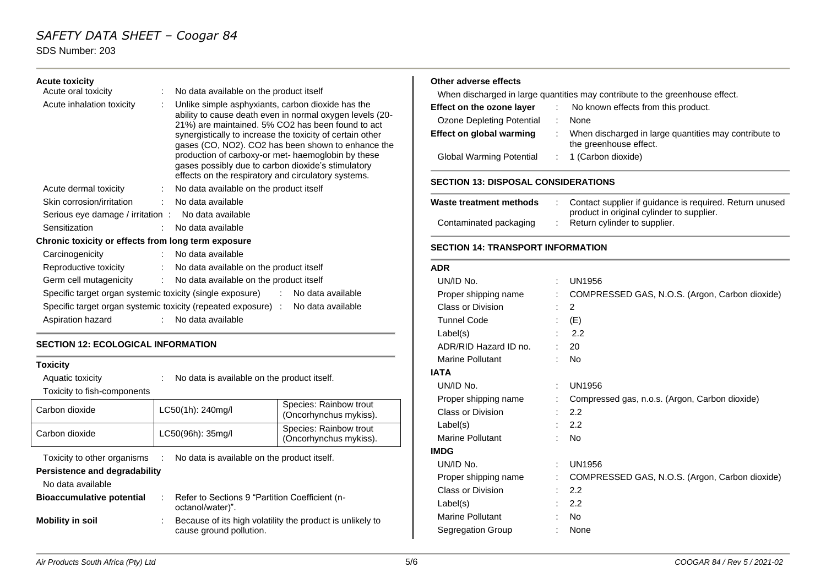SDS Number: 203

#### **Acute toxicity**

**Toxicity**

| Acute oral toxicity                                       |                              | No data available on the product itself                                                                                                                                                                                                                                                                                                                                                                                                                  |  |
|-----------------------------------------------------------|------------------------------|----------------------------------------------------------------------------------------------------------------------------------------------------------------------------------------------------------------------------------------------------------------------------------------------------------------------------------------------------------------------------------------------------------------------------------------------------------|--|
| Acute inhalation toxicity                                 | ÷                            | Unlike simple asphyxiants, carbon dioxide has the<br>ability to cause death even in normal oxygen levels (20-<br>21%) are maintained. 5% CO2 has been found to act<br>synergistically to increase the toxicity of certain other<br>gases (CO, NO2). CO2 has been shown to enhance the<br>production of carboxy-or met- haemoglobin by these<br>gases possibly due to carbon dioxide's stimulatory<br>effects on the respiratory and circulatory systems. |  |
| Acute dermal toxicity                                     |                              | No data available on the product itself                                                                                                                                                                                                                                                                                                                                                                                                                  |  |
| Skin corrosion/irritation                                 | ÷                            | No data available                                                                                                                                                                                                                                                                                                                                                                                                                                        |  |
| Serious eye damage / irritation : No data available       |                              |                                                                                                                                                                                                                                                                                                                                                                                                                                                          |  |
| Sensitization                                             | ÷.                           | No data available                                                                                                                                                                                                                                                                                                                                                                                                                                        |  |
| Chronic toxicity or effects from long term exposure       |                              |                                                                                                                                                                                                                                                                                                                                                                                                                                                          |  |
| Carcinogenicity                                           |                              | No data available                                                                                                                                                                                                                                                                                                                                                                                                                                        |  |
| Reproductive toxicity                                     |                              | No data available on the product itself                                                                                                                                                                                                                                                                                                                                                                                                                  |  |
| Germ cell mutagenicity                                    | $\mathcal{L}_{\mathrm{max}}$ | No data available on the product itself                                                                                                                                                                                                                                                                                                                                                                                                                  |  |
| Specific target organ systemic toxicity (single exposure) |                              | : No data available                                                                                                                                                                                                                                                                                                                                                                                                                                      |  |
|                                                           |                              | Specific target organ systemic toxicity (repeated exposure) : No data available                                                                                                                                                                                                                                                                                                                                                                          |  |
| Aspiration hazard                                         | t in                         | No data available                                                                                                                                                                                                                                                                                                                                                                                                                                        |  |

#### **SECTION 12: ECOLOGICAL INFORMATION**

| Aquatic toxicity<br>Toxicity to fish-components                                                                                 |    | $\therefore$ No data is available on the product itself.           |                                                           |
|---------------------------------------------------------------------------------------------------------------------------------|----|--------------------------------------------------------------------|-----------------------------------------------------------|
| Carbon dioxide                                                                                                                  |    | LC50(1h): 240mg/l                                                  | Species: Rainbow trout<br>(Oncorhynchus mykiss).          |
| Carbon dioxide                                                                                                                  |    | LC50(96h): 35mg/l                                                  | Species: Rainbow trout<br>(Oncorhynchus mykiss).          |
| Toxicity to other organisms : No data is available on the product itself.<br>Persistence and degradability<br>No data available |    |                                                                    |                                                           |
| <b>Bioaccumulative potential</b>                                                                                                | t. | Refer to Sections 9 "Partition Coefficient (n-<br>octanol/water)". |                                                           |
| <b>Mobility in soil</b>                                                                                                         |    | cause ground pollution.                                            | Because of its high volatility the product is unlikely to |

#### **Other adverse effects**

**ADR**

When discharged in large quantities may contribute to the greenhouse effect.

| Effect on the ozone layer |    | : No known effects from this product.                                           |
|---------------------------|----|---------------------------------------------------------------------------------|
| Ozone Depleting Potential | ٠. | None                                                                            |
| Effect on global warming  |    | When discharged in large quantities may contribute to<br>the greenhouse effect. |
| Global Warming Potential  |    | $\therefore$ 1 (Carbon dioxide)                                                 |

#### **SECTION 13: DISPOSAL CONSIDERATIONS**

| Waste treatment methods | Contact supplier if guidance is required. Return unused                   |
|-------------------------|---------------------------------------------------------------------------|
| Contaminated packaging  | product in original cylinder to supplier.<br>Return cylinder to supplier. |

#### **SECTION 14: TRANSPORT INFORMATION**

| UN/ID No.                |    | <b>UN1956</b>                                  |
|--------------------------|----|------------------------------------------------|
| Proper shipping name     |    | COMPRESSED GAS, N.O.S. (Argon, Carbon dioxide) |
| <b>Class or Division</b> |    | 2                                              |
| <b>Tunnel Code</b>       |    | (E)                                            |
| Label(s)                 |    | 2.2                                            |
| ADR/RID Hazard ID no.    |    | 20                                             |
| <b>Marine Pollutant</b>  |    | <b>No</b>                                      |
| IATA                     |    |                                                |
| UN/ID No.                | ÷. | UN1956                                         |
| Proper shipping name     |    | Compressed gas, n.o.s. (Argon, Carbon dioxide) |
| <b>Class or Division</b> |    | 2.2                                            |
| Label(s)                 |    | 2.2                                            |
| Marine Pollutant         |    | <b>No</b>                                      |
| <b>IMDG</b>              |    |                                                |
| UN/ID No.                |    | UN1956                                         |
| Proper shipping name     |    | COMPRESSED GAS, N.O.S. (Argon, Carbon dioxide) |
| <b>Class or Division</b> |    | 2.2                                            |
| Label(s)                 |    | 2.2                                            |
| Marine Pollutant         |    | No.                                            |
| Segregation Group        |    | None                                           |
|                          |    |                                                |